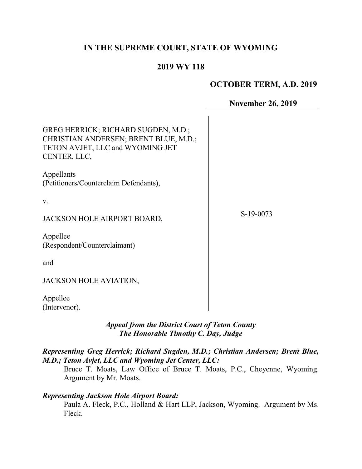# IN THE SUPREME COURT, STATE OF WYOMING

## 2019 WY 118

### OCTOBER TERM, A.D. 2019

November 26, 2019

| GREG HERRICK; RICHARD SUGDEN, M.D.;<br>CHRISTIAN ANDERSEN; BRENT BLUE, M.D.;<br>TETON AVJET, LLC and WYOMING JET<br>CENTER, LLC,<br>Appellants<br>(Petitioners/Counterclaim Defendants), |           |
|------------------------------------------------------------------------------------------------------------------------------------------------------------------------------------------|-----------|
| V.                                                                                                                                                                                       |           |
| JACKSON HOLE AIRPORT BOARD,                                                                                                                                                              | S-19-0073 |
| Appellee<br>(Respondent/Counterclaimant)                                                                                                                                                 |           |
| and                                                                                                                                                                                      |           |
| JACKSON HOLE AVIATION,                                                                                                                                                                   |           |
| Appellee<br>(Intervenor).                                                                                                                                                                |           |

## Appeal from the District Court of Teton County The Honorable Timothy C. Day, Judge

### Representing Greg Herrick; Richard Sugden, M.D.; Christian Andersen; Brent Blue, M.D.; Teton Avjet, LLC and Wyoming Jet Center, LLC:

Bruce T. Moats, Law Office of Bruce T. Moats, P.C., Cheyenne, Wyoming. Argument by Mr. Moats.

### Representing Jackson Hole Airport Board:

Paula A. Fleck, P.C., Holland & Hart LLP, Jackson, Wyoming. Argument by Ms. Fleck.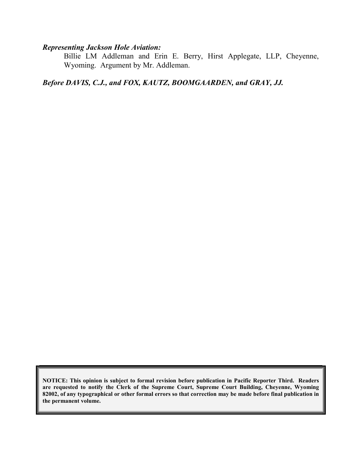### Representing Jackson Hole Aviation:

Billie LM Addleman and Erin E. Berry, Hirst Applegate, LLP, Cheyenne, Wyoming. Argument by Mr. Addleman.

Before DAVIS, C.J., and FOX, KAUTZ, BOOMGAARDEN, and GRAY, JJ.

NOTICE: This opinion is subject to formal revision before publication in Pacific Reporter Third. Readers are requested to notify the Clerk of the Supreme Court, Supreme Court Building, Cheyenne, Wyoming 82002, of any typographical or other formal errors so that correction may be made before final publication in the permanent volume.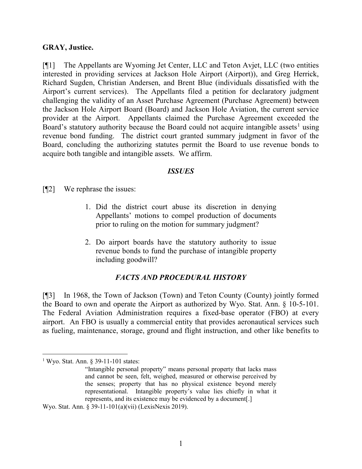#### GRAY, Justice.

[¶1] The Appellants are Wyoming Jet Center, LLC and Teton Avjet, LLC (two entities interested in providing services at Jackson Hole Airport (Airport)), and Greg Herrick, Richard Sugden, Christian Andersen, and Brent Blue (individuals dissatisfied with the Airport's current services). The Appellants filed a petition for declaratory judgment challenging the validity of an Asset Purchase Agreement (Purchase Agreement) between the Jackson Hole Airport Board (Board) and Jackson Hole Aviation, the current service provider at the Airport. Appellants claimed the Purchase Agreement exceeded the Board's statutory authority because the Board could not acquire intangible assets<sup>1</sup> using revenue bond funding. The district court granted summary judgment in favor of the Board, concluding the authorizing statutes permit the Board to use revenue bonds to acquire both tangible and intangible assets. We affirm.

#### **ISSUES**

[¶2] We rephrase the issues:

- 1. Did the district court abuse its discretion in denying Appellants' motions to compel production of documents prior to ruling on the motion for summary judgment?
- 2. Do airport boards have the statutory authority to issue revenue bonds to fund the purchase of intangible property including goodwill?

#### FACTS AND PROCEDURAL HISTORY

[¶3] In 1968, the Town of Jackson (Town) and Teton County (County) jointly formed the Board to own and operate the Airport as authorized by Wyo. Stat. Ann. § 10-5-101. The Federal Aviation Administration requires a fixed-base operator (FBO) at every airport. An FBO is usually a commercial entity that provides aeronautical services such as fueling, maintenance, storage, ground and flight instruction, and other like benefits to

 $\overline{a}$ 

<sup>&</sup>lt;sup>1</sup> Wyo. Stat. Ann. § 39-11-101 states:

<sup>&</sup>quot;Intangible personal property" means personal property that lacks mass and cannot be seen, felt, weighed, measured or otherwise perceived by the senses; property that has no physical existence beyond merely representational. Intangible property's value lies chiefly in what it represents, and its existence may be evidenced by a document[.]

Wyo. Stat. Ann. § 39-11-101(a)(vii) (LexisNexis 2019).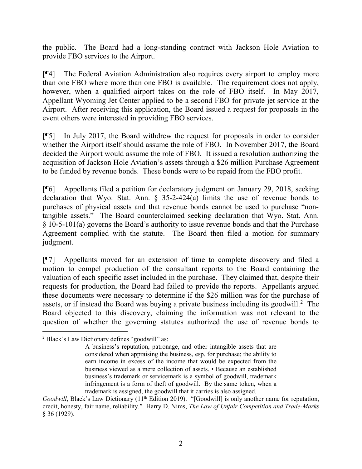the public. The Board had a long-standing contract with Jackson Hole Aviation to provide FBO services to the Airport.

[¶4] The Federal Aviation Administration also requires every airport to employ more than one FBO where more than one FBO is available. The requirement does not apply, however, when a qualified airport takes on the role of FBO itself. In May 2017, Appellant Wyoming Jet Center applied to be a second FBO for private jet service at the Airport. After receiving this application, the Board issued a request for proposals in the event others were interested in providing FBO services.

[¶5] In July 2017, the Board withdrew the request for proposals in order to consider whether the Airport itself should assume the role of FBO. In November 2017, the Board decided the Airport would assume the role of FBO. It issued a resolution authorizing the acquisition of Jackson Hole Aviation's assets through a \$26 million Purchase Agreement to be funded by revenue bonds. These bonds were to be repaid from the FBO profit.

[¶6] Appellants filed a petition for declaratory judgment on January 29, 2018, seeking declaration that Wyo. Stat. Ann. § 35-2-424(a) limits the use of revenue bonds to purchases of physical assets and that revenue bonds cannot be used to purchase "nontangible assets." The Board counterclaimed seeking declaration that Wyo. Stat. Ann. § 10-5-101(a) governs the Board's authority to issue revenue bonds and that the Purchase Agreement complied with the statute. The Board then filed a motion for summary judgment.

[¶7] Appellants moved for an extension of time to complete discovery and filed a motion to compel production of the consultant reports to the Board containing the valuation of each specific asset included in the purchase. They claimed that, despite their requests for production, the Board had failed to provide the reports. Appellants argued these documents were necessary to determine if the \$26 million was for the purchase of assets, or if instead the Board was buying a private business including its goodwill.<sup>2</sup> The Board objected to this discovery, claiming the information was not relevant to the question of whether the governing statutes authorized the use of revenue bonds to

 2 Black's Law Dictionary defines "goodwill" as:

A business's reputation, patronage, and other intangible assets that are considered when appraising the business, esp. for purchase; the ability to earn income in excess of the income that would be expected from the business viewed as a mere collection of assets. • Because an established business's trademark or servicemark is a symbol of goodwill, trademark infringement is a form of theft of goodwill. By the same token, when a trademark is assigned, the goodwill that it carries is also assigned.

Goodwill, Black's Law Dictionary  $(11<sup>th</sup> Edition 2019)$ . "[Goodwill] is only another name for reputation, credit, honesty, fair name, reliability." Harry D. Nims, The Law of Unfair Competition and Trade-Marks § 36 (1929).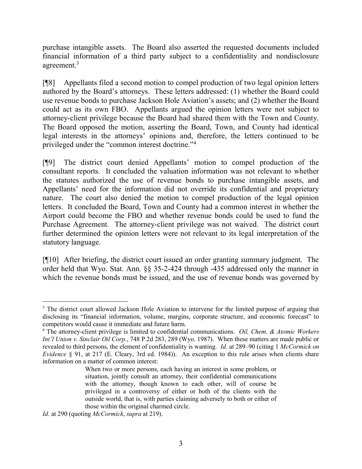purchase intangible assets. The Board also asserted the requested documents included financial information of a third party subject to a confidentiality and nondisclosure agreement.<sup>3</sup>

[¶8] Appellants filed a second motion to compel production of two legal opinion letters authored by the Board's attorneys. These letters addressed: (1) whether the Board could use revenue bonds to purchase Jackson Hole Aviation's assets; and (2) whether the Board could act as its own FBO. Appellants argued the opinion letters were not subject to attorney-client privilege because the Board had shared them with the Town and County. The Board opposed the motion, asserting the Board, Town, and County had identical legal interests in the attorneys' opinions and, therefore, the letters continued to be privileged under the "common interest doctrine."<sup>4</sup>

[¶9] The district court denied Appellants' motion to compel production of the consultant reports. It concluded the valuation information was not relevant to whether the statutes authorized the use of revenue bonds to purchase intangible assets, and Appellants' need for the information did not override its confidential and proprietary nature. The court also denied the motion to compel production of the legal opinion letters. It concluded the Board, Town and County had a common interest in whether the Airport could become the FBO and whether revenue bonds could be used to fund the Purchase Agreement. The attorney-client privilege was not waived. The district court further determined the opinion letters were not relevant to its legal interpretation of the statutory language.

[¶10] After briefing, the district court issued an order granting summary judgment. The order held that Wyo. Stat. Ann. §§ 35-2-424 through -435 addressed only the manner in which the revenue bonds must be issued, and the use of revenue bonds was governed by

<sup>&</sup>lt;sup>3</sup> The district court allowed Jackson Hole Aviation to intervene for the limited purpose of arguing that disclosing its "financial information, volume, margins, corporate structure, and economic forecast" to competitors would cause it immediate and future harm.

<sup>&</sup>lt;sup>4</sup> The attorney-client privilege is limited to confidential communications. Oil, Chem. & Atomic Workers Int'l Union v. Sinclair Oil Corp., 748 P.2d 283, 289 (Wyo. 1987). When these matters are made public or revealed to third persons, the element of confidentiality is wanting. *Id.* at 289–90 (citing 1 *McCormick on* Evidence § 91, at 217 (E. Cleary, 3rd ed. 1984)). An exception to this rule arises when clients share information on a matter of common interest:

When two or more persons, each having an interest in some problem, or situation, jointly consult an attorney, their confidential communications with the attorney, though known to each other, will of course be privileged in a controversy of either or both of the clients with the outside world, that is, with parties claiming adversely to both or either of those within the original charmed circle.

Id. at 290 (quoting McCormick, supra at 219).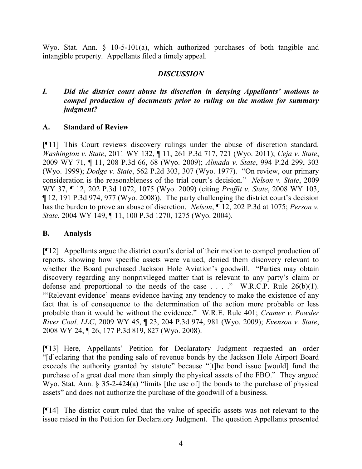Wyo. Stat. Ann. § 10-5-101(a), which authorized purchases of both tangible and intangible property. Appellants filed a timely appeal.

## **DISCUSSION**

## I. Did the district court abuse its discretion in denying Appellants' motions to compel production of documents prior to ruling on the motion for summary judgment?

### A. Standard of Review

[¶11] This Court reviews discovery rulings under the abuse of discretion standard. Washington v. State, 2011 WY 132, ¶ 11, 261 P.3d 717, 721 (Wyo. 2011); Ceja v. State, 2009 WY 71, ¶ 11, 208 P.3d 66, 68 (Wyo. 2009); Almada v. State, 994 P.2d 299, 303 (Wyo. 1999); Dodge v. State, 562 P.2d 303, 307 (Wyo. 1977). "On review, our primary consideration is the reasonableness of the trial court's decision." Nelson v. State, 2009 WY 37, ¶ 12, 202 P.3d 1072, 1075 (Wyo. 2009) (citing *Proffit v. State*, 2008 WY 103, ¶ 12, 191 P.3d 974, 977 (Wyo. 2008)). The party challenging the district court's decision has the burden to prove an abuse of discretion. Nelson,  $\P$  12, 202 P.3d at 1075; Person v. State, 2004 WY 149, ¶ 11, 100 P.3d 1270, 1275 (Wyo. 2004).

### B. Analysis

[¶12] Appellants argue the district court's denial of their motion to compel production of reports, showing how specific assets were valued, denied them discovery relevant to whether the Board purchased Jackson Hole Aviation's goodwill. "Parties may obtain discovery regarding any nonprivileged matter that is relevant to any party's claim or defense and proportional to the needs of the case  $\ldots$  ." W.R.C.P. Rule 26(b)(1). "'Relevant evidence' means evidence having any tendency to make the existence of any fact that is of consequence to the determination of the action more probable or less probable than it would be without the evidence." W.R.E. Rule 401; Cramer v. Powder River Coal, LLC, 2009 WY 45, ¶ 23, 204 P.3d 974, 981 (Wyo. 2009); Evenson v. State, 2008 WY 24, ¶ 26, 177 P.3d 819, 827 (Wyo. 2008).

[¶13] Here, Appellants' Petition for Declaratory Judgment requested an order "[d]eclaring that the pending sale of revenue bonds by the Jackson Hole Airport Board exceeds the authority granted by statute" because "[t]he bond issue [would] fund the purchase of a great deal more than simply the physical assets of the FBO." They argued Wyo. Stat. Ann. § 35-2-424(a) "limits [the use of] the bonds to the purchase of physical assets" and does not authorize the purchase of the goodwill of a business.

[¶14] The district court ruled that the value of specific assets was not relevant to the issue raised in the Petition for Declaratory Judgment. The question Appellants presented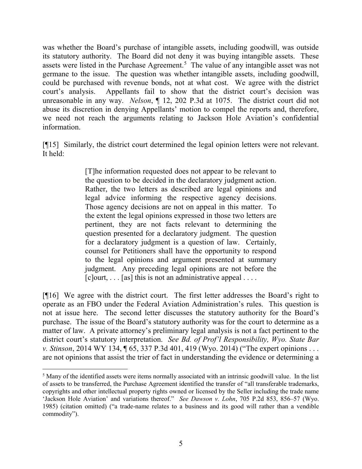was whether the Board's purchase of intangible assets, including goodwill, was outside its statutory authority. The Board did not deny it was buying intangible assets. These assets were listed in the Purchase Agreement.<sup>5</sup> The value of any intangible asset was not germane to the issue. The question was whether intangible assets, including goodwill, could be purchased with revenue bonds, not at what cost. We agree with the district court's analysis. Appellants fail to show that the district court's decision was unreasonable in any way. *Nelson*,  $\parallel$  12, 202 P.3d at 1075. The district court did not abuse its discretion in denying Appellants' motion to compel the reports and, therefore, we need not reach the arguments relating to Jackson Hole Aviation's confidential information.

[¶15] Similarly, the district court determined the legal opinion letters were not relevant. It held:

> [T]he information requested does not appear to be relevant to the question to be decided in the declaratory judgment action. Rather, the two letters as described are legal opinions and legal advice informing the respective agency decisions. Those agency decisions are not on appeal in this matter. To the extent the legal opinions expressed in those two letters are pertinent, they are not facts relevant to determining the question presented for a declaratory judgment. The question for a declaratory judgment is a question of law. Certainly, counsel for Petitioners shall have the opportunity to respond to the legal opinions and argument presented at summary judgment. Any preceding legal opinions are not before the  $[c]$ ourt, ... [as] this is not an administrative appeal ....

[¶16] We agree with the district court. The first letter addresses the Board's right to operate as an FBO under the Federal Aviation Administration's rules. This question is not at issue here. The second letter discusses the statutory authority for the Board's purchase. The issue of the Board's statutory authority was for the court to determine as a matter of law. A private attorney's preliminary legal analysis is not a fact pertinent to the district court's statutory interpretation. See Bd. of Prof'l Responsibility, Wyo. State Bar v. Stinson, 2014 WY 134, ¶ 65, 337 P.3d 401, 419 (Wyo. 2014) ("The expert opinions . . . are not opinions that assist the trier of fact in understanding the evidence or determining a

 $\overline{a}$ <sup>5</sup> Many of the identified assets were items normally associated with an intrinsic goodwill value. In the list of assets to be transferred, the Purchase Agreement identified the transfer of "all transferable trademarks, copyrights and other intellectual property rights owned or licensed by the Seller including the trade name 'Jackson Hole Aviation' and variations thereof." See Dawson v. Lohn, 705 P.2d 853, 856–57 (Wyo. 1985) (citation omitted) ("a trade-name relates to a business and its good will rather than a vendible commodity").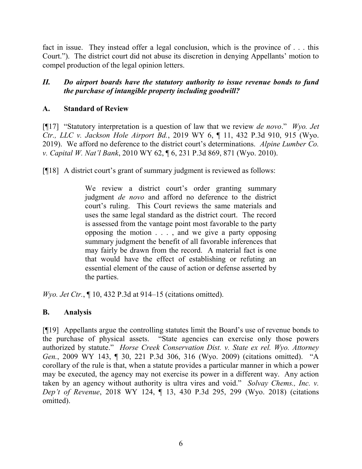fact in issue. They instead offer a legal conclusion, which is the province of . . . this Court."). The district court did not abuse its discretion in denying Appellants' motion to compel production of the legal opinion letters.

## II. Do airport boards have the statutory authority to issue revenue bonds to fund the purchase of intangible property including goodwill?

## A. Standard of Review

[ $[$ [17] "Statutory interpretation is a question of law that we review *de novo.*" *Wyo. Jet* Ctr., LLC v. Jackson Hole Airport Bd., 2019 WY 6, ¶ 11, 432 P.3d 910, 915 (Wyo. 2019). We afford no deference to the district court's determinations. Alpine Lumber Co. v. Capital W. Nat'l Bank, 2010 WY 62, ¶ 6, 231 P.3d 869, 871 (Wyo. 2010).

[¶18] A district court's grant of summary judgment is reviewed as follows:

We review a district court's order granting summary judgment de novo and afford no deference to the district court's ruling. This Court reviews the same materials and uses the same legal standard as the district court. The record is assessed from the vantage point most favorable to the party opposing the motion . . . , and we give a party opposing summary judgment the benefit of all favorable inferences that may fairly be drawn from the record. A material fact is one that would have the effect of establishing or refuting an essential element of the cause of action or defense asserted by the parties.

Wyo. Jet Ctr.,  $\P$  10, 432 P.3d at 914–15 (citations omitted).

## B. Analysis

[¶19] Appellants argue the controlling statutes limit the Board's use of revenue bonds to the purchase of physical assets. "State agencies can exercise only those powers authorized by statute." Horse Creek Conservation Dist. v. State ex rel. Wyo. Attorney Gen., 2009 WY 143, ¶ 30, 221 P.3d 306, 316 (Wyo. 2009) (citations omitted). "A corollary of the rule is that, when a statute provides a particular manner in which a power may be executed, the agency may not exercise its power in a different way. Any action taken by an agency without authority is ultra vires and void." Solvay Chems., Inc. v. Dep't of Revenue, 2018 WY 124, ¶ 13, 430 P.3d 295, 299 (Wyo. 2018) (citations omitted).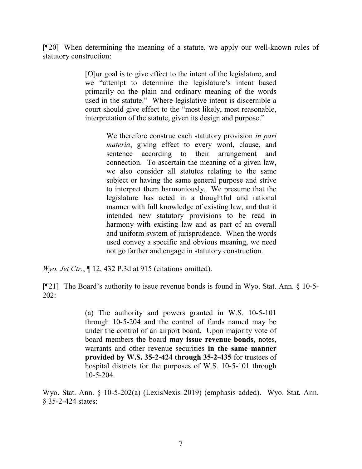[¶20] When determining the meaning of a statute, we apply our well-known rules of statutory construction:

> [O]ur goal is to give effect to the intent of the legislature, and we "attempt to determine the legislature's intent based primarily on the plain and ordinary meaning of the words used in the statute." Where legislative intent is discernible a court should give effect to the "most likely, most reasonable, interpretation of the statute, given its design and purpose."

> > We therefore construe each statutory provision *in pari* materia, giving effect to every word, clause, and sentence according to their arrangement and connection. To ascertain the meaning of a given law, we also consider all statutes relating to the same subject or having the same general purpose and strive to interpret them harmoniously. We presume that the legislature has acted in a thoughtful and rational manner with full knowledge of existing law, and that it intended new statutory provisions to be read in harmony with existing law and as part of an overall and uniform system of jurisprudence. When the words used convey a specific and obvious meaning, we need not go farther and engage in statutory construction.

Wyo. Jet Ctr.,  $\P$  12, 432 P.3d at 915 (citations omitted).

[¶21] The Board's authority to issue revenue bonds is found in Wyo. Stat. Ann. § 10-5- 202:

> (a) The authority and powers granted in W.S. 10-5-101 through 10-5-204 and the control of funds named may be under the control of an airport board. Upon majority vote of board members the board may issue revenue bonds, notes, warrants and other revenue securities in the same manner provided by W.S. 35-2-424 through 35-2-435 for trustees of hospital districts for the purposes of W.S. 10-5-101 through 10-5-204.

Wyo. Stat. Ann. § 10-5-202(a) (LexisNexis 2019) (emphasis added). Wyo. Stat. Ann. § 35-2-424 states: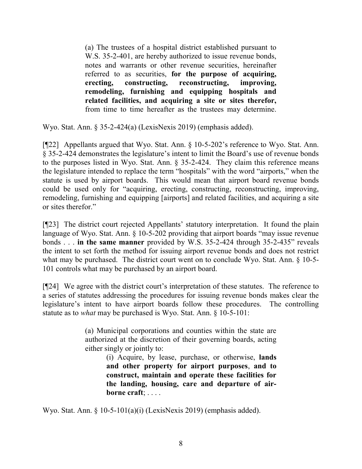(a) The trustees of a hospital district established pursuant to W.S. 35-2-401, are hereby authorized to issue revenue bonds, notes and warrants or other revenue securities, hereinafter referred to as securities, for the purpose of acquiring, erecting, constructing, reconstructing, improving, remodeling, furnishing and equipping hospitals and related facilities, and acquiring a site or sites therefor, from time to time hereafter as the trustees may determine.

Wyo. Stat. Ann. § 35-2-424(a) (LexisNexis 2019) (emphasis added).

[¶22] Appellants argued that Wyo. Stat. Ann. § 10-5-202's reference to Wyo. Stat. Ann. § 35-2-424 demonstrates the legislature's intent to limit the Board's use of revenue bonds to the purposes listed in Wyo. Stat. Ann. § 35-2-424. They claim this reference means the legislature intended to replace the term "hospitals" with the word "airports," when the statute is used by airport boards. This would mean that airport board revenue bonds could be used only for "acquiring, erecting, constructing, reconstructing, improving, remodeling, furnishing and equipping [airports] and related facilities, and acquiring a site or sites therefor."

[¶23] The district court rejected Appellants' statutory interpretation. It found the plain language of Wyo. Stat. Ann. § 10-5-202 providing that airport boards "may issue revenue bonds . . . in the same manner provided by W.S. 35-2-424 through 35-2-435" reveals the intent to set forth the method for issuing airport revenue bonds and does not restrict what may be purchased. The district court went on to conclude Wyo. Stat. Ann. § 10-5- 101 controls what may be purchased by an airport board.

[¶24] We agree with the district court's interpretation of these statutes. The reference to a series of statutes addressing the procedures for issuing revenue bonds makes clear the legislature's intent to have airport boards follow these procedures. The controlling statute as to what may be purchased is Wyo. Stat. Ann. § 10-5-101:

> (a) Municipal corporations and counties within the state are authorized at the discretion of their governing boards, acting either singly or jointly to:

> > (i) Acquire, by lease, purchase, or otherwise, lands and other property for airport purposes, and to construct, maintain and operate these facilities for the landing, housing, care and departure of airborne craft; . . . .

Wyo. Stat. Ann. § 10-5-101(a)(i) (LexisNexis 2019) (emphasis added).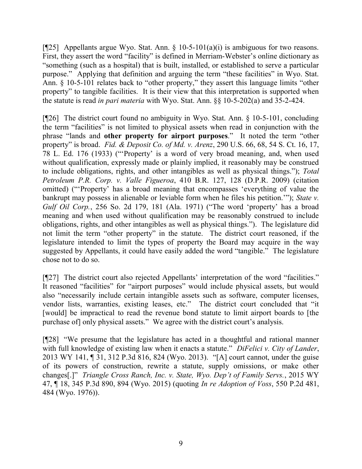[ $[$ 25] Appellants argue Wyo. Stat. Ann. § 10-5-101(a)(i) is ambiguous for two reasons. First, they assert the word "facility" is defined in Merriam-Webster's online dictionary as "something (such as a hospital) that is built, installed, or established to serve a particular purpose." Applying that definition and arguing the term "these facilities" in Wyo. Stat. Ann. § 10-5-101 relates back to "other property," they assert this language limits "other property" to tangible facilities. It is their view that this interpretation is supported when the statute is read in pari materia with Wyo. Stat. Ann. §§ 10-5-202(a) and 35-2-424.

[¶26] The district court found no ambiguity in Wyo. Stat. Ann. § 10-5-101, concluding the term "facilities" is not limited to physical assets when read in conjunction with the phrase "lands and other property for airport purposes." It noted the term "other property" is broad. Fid. & Deposit Co. of Md. v. Arenz, 290 U.S. 66, 68, 54 S. Ct. 16, 17, 78 L. Ed. 176 (1933) ("'Property' is a word of very broad meaning, and, when used without qualification, expressly made or plainly implied, it reasonably may be construed to include obligations, rights, and other intangibles as well as physical things."); Total Petroleum P.R. Corp. v. Valle Figueroa, 410 B.R. 127, 128 (D.P.R. 2009) (citation omitted) ("'Property' has a broad meaning that encompasses 'everything of value the bankrupt may possess in alienable or leviable form when he files his petition.""); State v. Gulf Oil Corp., 256 So. 2d 179, 181 (Ala. 1971) ("The word 'property' has a broad meaning and when used without qualification may be reasonably construed to include obligations, rights, and other intangibles as well as physical things."). The legislature did not limit the term "other property" in the statute. The district court reasoned, if the legislature intended to limit the types of property the Board may acquire in the way suggested by Appellants, it could have easily added the word "tangible." The legislature chose not to do so.

[¶27] The district court also rejected Appellants' interpretation of the word "facilities." It reasoned "facilities" for "airport purposes" would include physical assets, but would also "necessarily include certain intangible assets such as software, computer licenses, vendor lists, warranties, existing leases, etc." The district court concluded that "it [would] be impractical to read the revenue bond statute to limit airport boards to [the purchase of] only physical assets." We agree with the district court's analysis.

[¶28] "We presume that the legislature has acted in a thoughtful and rational manner with full knowledge of existing law when it enacts a statute." DiFelici v. City of Lander, 2013 WY 141, ¶ 31, 312 P.3d 816, 824 (Wyo. 2013). "[A] court cannot, under the guise of its powers of construction, rewrite a statute, supply omissions, or make other changes[.]" Triangle Cross Ranch, Inc. v. State, Wyo. Dep't of Family Servs., 2015 WY 47, ¶ 18, 345 P.3d 890, 894 (Wyo. 2015) (quoting In re Adoption of Voss, 550 P.2d 481, 484 (Wyo. 1976)).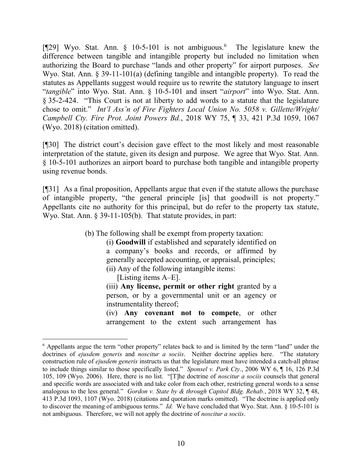[¶29] Wyo. Stat. Ann. § 10-5-101 is not ambiguous.<sup>6</sup> The legislature knew the difference between tangible and intangible property but included no limitation when authorizing the Board to purchase "lands and other property" for airport purposes. See Wyo. Stat. Ann. § 39-11-101(a) (defining tangible and intangible property). To read the statutes as Appellants suggest would require us to rewrite the statutory language to insert "tangible" into Wyo. Stat. Ann. § 10-5-101 and insert "airport" into Wyo. Stat. Ann. § 35-2-424. "This Court is not at liberty to add words to a statute that the legislature chose to omit." Int'l Ass'n of Fire Fighters Local Union No. 5058 v. Gillette/Wright/ Campbell Cty. Fire Prot. Joint Powers Bd., 2018 WY 75, ¶ 33, 421 P.3d 1059, 1067 (Wyo. 2018) (citation omitted).

[¶30] The district court's decision gave effect to the most likely and most reasonable interpretation of the statute, given its design and purpose. We agree that Wyo. Stat. Ann. § 10-5-101 authorizes an airport board to purchase both tangible and intangible property using revenue bonds.

[¶31] As a final proposition, Appellants argue that even if the statute allows the purchase of intangible property, "the general principle [is] that goodwill is not property." Appellants cite no authority for this principal, but do refer to the property tax statute, Wyo. Stat. Ann. § 39-11-105(b). That statute provides, in part:

(b) The following shall be exempt from property taxation:

(i) Goodwill if established and separately identified on a company's books and records, or affirmed by generally accepted accounting, or appraisal, principles; (ii) Any of the following intangible items:

[Listing items A–E].

 $\overline{a}$ 

(iii) Any license, permit or other right granted by a person, or by a governmental unit or an agency or instrumentality thereof;

(iv) Any covenant not to compete, or other arrangement to the extent such arrangement has

<sup>&</sup>lt;sup>6</sup> Appellants argue the term "other property" relates back to and is limited by the term "land" under the doctrines of ejusdem generis and noscitur a sociis. Neither doctrine applies here. "The statutory construction rule of ejusdem generis instructs us that the legislature must have intended a catch-all phrase to include things similar to those specifically listed." Sponsel v. Park Cty., 2006 WY 6, ¶ 16, 126 P.3d 105, 109 (Wyo. 2006). Here, there is no list. "[T]he doctrine of noscitur a sociis counsels that general and specific words are associated with and take color from each other, restricting general words to a sense analogous to the less general." Gordon v. State by & through Capitol Bldg. Rehab., 2018 WY 32, ¶ 48, 413 P.3d 1093, 1107 (Wyo. 2018) (citations and quotation marks omitted). "The doctrine is applied only to discover the meaning of ambiguous terms." Id. We have concluded that Wyo. Stat. Ann.  $\S$  10-5-101 is not ambiguous. Therefore, we will not apply the doctrine of noscitur a sociis.